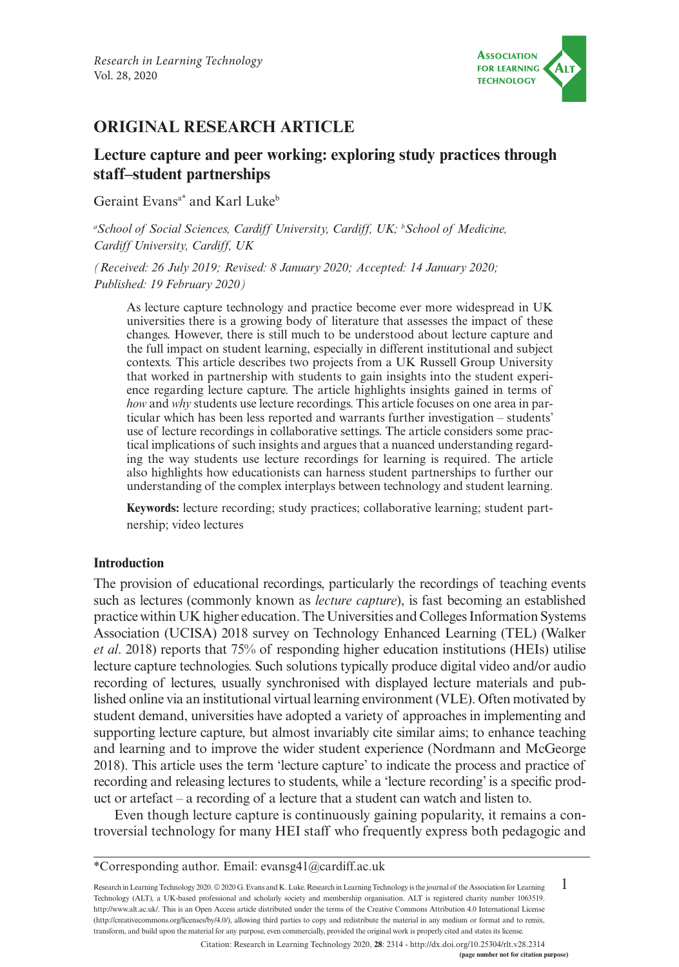

# **ORIGINAL RESEARCH ARTICLE**

# **Lecture capture and peer working: exploring study practices through staff–student partnerships**

Geraint Evans<sup>a\*</sup> and Karl Luke<sup>b</sup>

<sup>a</sup> School of Social Sciences, Cardiff University, Cardiff, UK; <sup>b</sup> School of Medicine, *Cardiff University, Cardiff, UK*

*(Received: 26 July 2019; Revised: 8 January 2020; Accepted: 14 January 2020; Published: 19 February 2020)*

As lecture capture technology and practice become ever more widespread in UK universities there is a growing body of literature that assesses the impact of these changes. However, there is still much to be understood about lecture capture and the full impact on student learning, especially in different institutional and subject contexts. This article describes two projects from a UK Russell Group University that worked in partnership with students to gain insights into the student experience regarding lecture capture. The article highlights insights gained in terms of *how* and *why* students use lecture recordings. This article focuses on one area in particular which has been less reported and warrants further investigation – students' use of lecture recordings in collaborative settings. The article considers some practical implications of such insights and argues that a nuanced understanding regarding the way students use lecture recordings for learning is required. The article also highlights how educationists can harness student partnerships to further our understanding of the complex interplays between technology and student learning.

**Keywords:** lecture recording; study practices; collaborative learning; student partnership; video lectures

### **Introduction**

The provision of educational recordings, particularly the recordings of teaching events such as lectures (commonly known as *lecture capture*), is fast becoming an established practice within UK higher education. The Universities and Colleges Information Systems Association (UCISA) 2018 survey on Technology Enhanced Learning (TEL) (Walker *et al*. 2018) reports that 75% of responding higher education institutions (HEIs) utilise lecture capture technologies. Such solutions typically produce digital video and/or audio recording of lectures, usually synchronised with displayed lecture materials and published online via an institutional virtual learning environment (VLE). Often motivated by student demand, universities have adopted a variety of approaches in implementing and supporting lecture capture, but almost invariably cite similar aims; to enhance teaching and learning and to improve the wider student experience (Nordmann and McGeorge 2018). This article uses the term 'lecture capture' to indicate the process and practice of recording and releasing lectures to students, while a 'lecture recording' is a specific product or artefact – a recording of a lecture that a student can watch and listen to.

Even though lecture capture is continuously gaining popularity, it remains a controversial technology for many HEI staff who frequently express both pedagogic and

1 Research in Learning Technology 2020. © 2020 G. Evans and K. Luke. Research in Learning Technology is the journal of the Association for Learning Technology (ALT), a UK-based professional and scholarly society and membership organisation. ALT is registered charity number 1063519. [http://www.alt.ac.uk/.](http://www.alt.ac.uk/) This is an Open Access article distributed under the terms of the Creative Commons Attribution 4.0 International License (<http://creativecommons.org/licenses/by/4.0/>), allowing third parties to copy and redistribute the material in any medium or format and to remix, transform, and build upon the material for any purpose, even commercially, provided the original work is properly cited and states its license.

**(page number not for citation purpose)** Citation: Research in Learning Technology 2020, **28**: 2314 - <http://dx.doi.org/10.25304/rlt.v28.2314>

<sup>\*</sup>Corresponding author. Email: [evansg41@cardiff.ac.uk](mailto:evansg41@cardiff.ac.uk)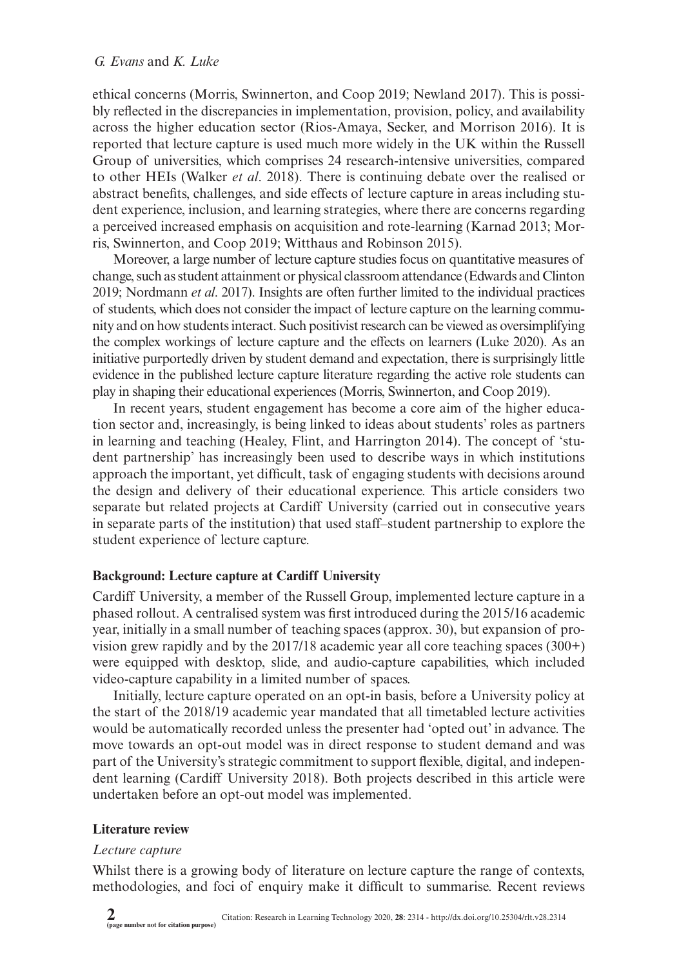ethical concerns (Morris, Swinnerton, and Coop 2019; Newland 2017). This is possibly reflected in the discrepancies in implementation, provision, policy, and availability across the higher education sector (Rios-Amaya, Secker, and Morrison 2016). It is reported that lecture capture is used much more widely in the UK within the Russell Group of universities, which comprises 24 research-intensive universities, compared to other HEIs (Walker *et al*. 2018). There is continuing debate over the realised or abstract benefits, challenges, and side effects of lecture capture in areas including student experience, inclusion, and learning strategies, where there are concerns regarding a perceived increased emphasis on acquisition and rote-learning (Karnad 2013; Morris, Swinnerton, and Coop 2019; Witthaus and Robinson 2015).

Moreover, a large number of lecture capture studies focus on quantitative measures of change, such as student attainment or physical classroom attendance (Edwards and Clinton 2019; Nordmann *et al*. 2017). Insights are often further limited to the individual practices of students, which does not consider the impact of lecture capture on the learning community and on how students interact. Such positivist research can be viewed as oversimplifying the complex workings of lecture capture and the effects on learners (Luke 2020). As an initiative purportedly driven by student demand and expectation, there is surprisingly little evidence in the published lecture capture literature regarding the active role students can play in shaping their educational experiences (Morris, Swinnerton, and Coop 2019).

In recent years, student engagement has become a core aim of the higher education sector and, increasingly, is being linked to ideas about students' roles as partners in learning and teaching (Healey, Flint, and Harrington 2014). The concept of 'student partnership' has increasingly been used to describe ways in which institutions approach the important, yet difficult, task of engaging students with decisions around the design and delivery of their educational experience. This article considers two separate but related projects at Cardiff University (carried out in consecutive years in separate parts of the institution) that used staff–student partnership to explore the student experience of lecture capture.

## **Background: Lecture capture at Cardiff University**

Cardiff University, a member of the Russell Group, implemented lecture capture in a phased rollout. A centralised system was first introduced during the 2015/16 academic year, initially in a small number of teaching spaces (approx. 30), but expansion of provision grew rapidly and by the 2017/18 academic year all core teaching spaces (300+) were equipped with desktop, slide, and audio-capture capabilities, which included video-capture capability in a limited number of spaces.

Initially, lecture capture operated on an opt-in basis, before a University policy at the start of the 2018/19 academic year mandated that all timetabled lecture activities would be automatically recorded unless the presenter had 'opted out' in advance. The move towards an opt-out model was in direct response to student demand and was part of the University's strategic commitment to support flexible, digital, and independent learning (Cardiff University 2018). Both projects described in this article were undertaken before an opt-out model was implemented.

### **Literature review**

### *Lecture capture*

Whilst there is a growing body of literature on lecture capture the range of contexts, methodologies, and foci of enquiry make it difficult to summarise. Recent reviews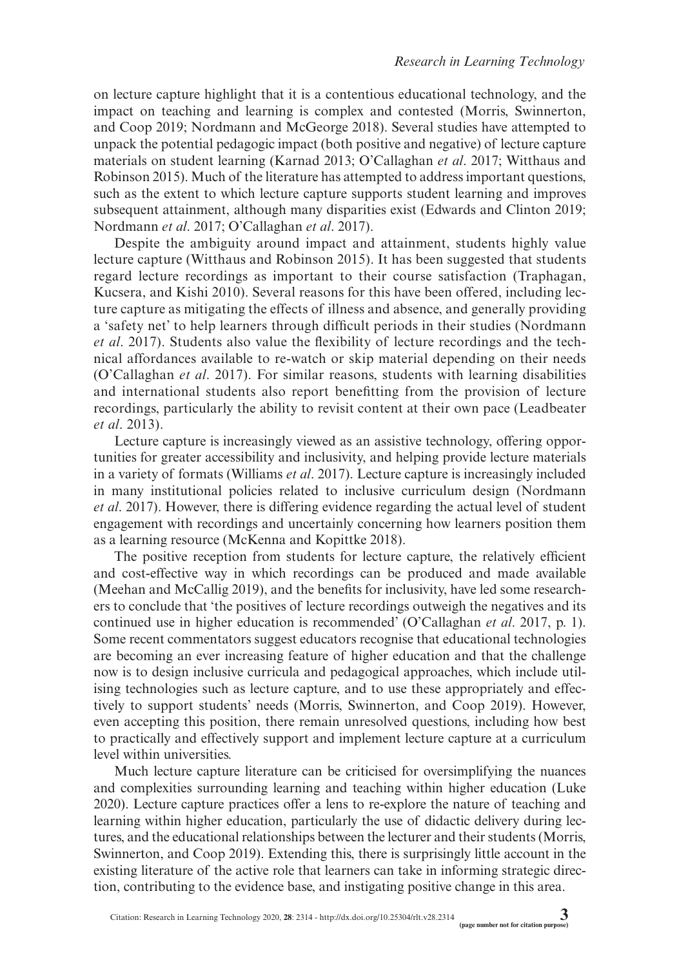on lecture capture highlight that it is a contentious educational technology, and the impact on teaching and learning is complex and contested (Morris, Swinnerton, and Coop 2019; Nordmann and McGeorge 2018). Several studies have attempted to unpack the potential pedagogic impact (both positive and negative) of lecture capture materials on student learning (Karnad 2013; O'Callaghan *et al*. 2017; Witthaus and Robinson 2015). Much of the literature has attempted to address important questions, such as the extent to which lecture capture supports student learning and improves subsequent attainment, although many disparities exist (Edwards and Clinton 2019; Nordmann *et al*. 2017; O'Callaghan *et al*. 2017).

Despite the ambiguity around impact and attainment, students highly value lecture capture (Witthaus and Robinson 2015). It has been suggested that students regard lecture recordings as important to their course satisfaction (Traphagan, Kucsera, and Kishi 2010). Several reasons for this have been offered, including lecture capture as mitigating the effects of illness and absence, and generally providing a 'safety net' to help learners through difficult periods in their studies (Nordmann *et al*. 2017). Students also value the flexibility of lecture recordings and the technical affordances available to re-watch or skip material depending on their needs (O'Callaghan *et al*. 2017). For similar reasons, students with learning disabilities and international students also report benefitting from the provision of lecture recordings, particularly the ability to revisit content at their own pace (Leadbeater *et al*. 2013).

Lecture capture is increasingly viewed as an assistive technology, offering opportunities for greater accessibility and inclusivity, and helping provide lecture materials in a variety of formats (Williams *et al*. 2017). Lecture capture is increasingly included in many institutional policies related to inclusive curriculum design (Nordmann *et al*. 2017). However, there is differing evidence regarding the actual level of student engagement with recordings and uncertainly concerning how learners position them as a learning resource (McKenna and Kopittke 2018).

The positive reception from students for lecture capture, the relatively efficient and cost-effective way in which recordings can be produced and made available (Meehan and McCallig 2019), and the benefits for inclusivity, have led some researchers to conclude that 'the positives of lecture recordings outweigh the negatives and its continued use in higher education is recommended' (O'Callaghan *et al*. 2017, p. 1). Some recent commentators suggest educators recognise that educational technologies are becoming an ever increasing feature of higher education and that the challenge now is to design inclusive curricula and pedagogical approaches, which include utilising technologies such as lecture capture, and to use these appropriately and effectively to support students' needs (Morris, Swinnerton, and Coop 2019). However, even accepting this position, there remain unresolved questions, including how best to practically and effectively support and implement lecture capture at a curriculum level within universities.

Much lecture capture literature can be criticised for oversimplifying the nuances and complexities surrounding learning and teaching within higher education (Luke 2020). Lecture capture practices offer a lens to re-explore the nature of teaching and learning within higher education, particularly the use of didactic delivery during lectures, and the educational relationships between the lecturer and their students (Morris, Swinnerton, and Coop 2019). Extending this, there is surprisingly little account in the existing literature of the active role that learners can take in informing strategic direction, contributing to the evidence base, and instigating positive change in this area.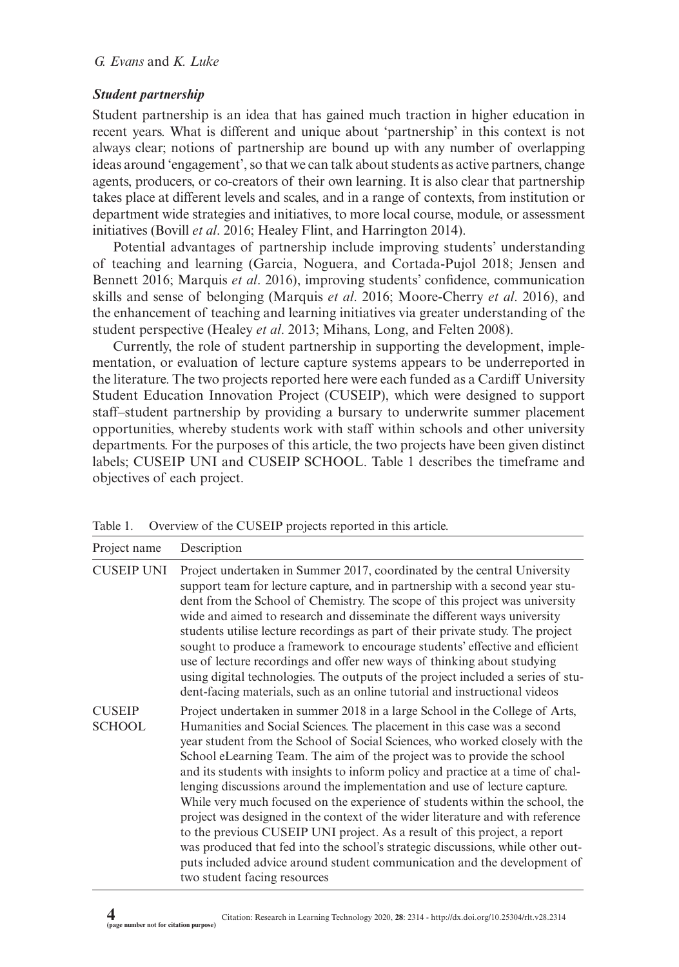### *Student partnership*

Student partnership is an idea that has gained much traction in higher education in recent years. What is different and unique about 'partnership' in this context is not always clear; notions of partnership are bound up with any number of overlapping ideas around 'engagement', so that we can talk about students as active partners, change agents, producers, or co-creators of their own learning. It is also clear that partnership takes place at different levels and scales, and in a range of contexts, from institution or department wide strategies and initiatives, to more local course, module, or assessment initiatives (Bovill *et al*. 2016; Healey Flint, and Harrington 2014).

Potential advantages of partnership include improving students' understanding of teaching and learning (Garcia, Noguera, and Cortada-Pujol 2018; Jensen and Bennett 2016; Marquis *et al*. 2016), improving students' confidence, communication skills and sense of belonging (Marquis *et al*. 2016; Moore-Cherry *et al*. 2016), and the enhancement of teaching and learning initiatives via greater understanding of the student perspective (Healey *et al*. 2013; Mihans, Long, and Felten 2008).

Currently, the role of student partnership in supporting the development, implementation, or evaluation of lecture capture systems appears to be underreported in the literature. The two projects reported here were each funded as a Cardiff University Student Education Innovation Project (CUSEIP), which were designed to support staff–student partnership by providing a bursary to underwrite summer placement opportunities, whereby students work with staff within schools and other university departments. For the purposes of this article, the two projects have been given distinct labels; CUSEIP UNI and CUSEIP SCHOOL. Table 1 describes the timeframe and objectives of each project.

| Project name                   | Description                                                                                                                                                                                                                                                                                                                                                                                                                                                                                                                                                                                                                                                                                                                                                                                                                                                                                                                     |
|--------------------------------|---------------------------------------------------------------------------------------------------------------------------------------------------------------------------------------------------------------------------------------------------------------------------------------------------------------------------------------------------------------------------------------------------------------------------------------------------------------------------------------------------------------------------------------------------------------------------------------------------------------------------------------------------------------------------------------------------------------------------------------------------------------------------------------------------------------------------------------------------------------------------------------------------------------------------------|
| <b>CUSEIP UNI</b>              | Project undertaken in Summer 2017, coordinated by the central University<br>support team for lecture capture, and in partnership with a second year stu-<br>dent from the School of Chemistry. The scope of this project was university<br>wide and aimed to research and disseminate the different ways university<br>students utilise lecture recordings as part of their private study. The project<br>sought to produce a framework to encourage students' effective and efficient<br>use of lecture recordings and offer new ways of thinking about studying<br>using digital technologies. The outputs of the project included a series of stu-<br>dent-facing materials, such as an online tutorial and instructional videos                                                                                                                                                                                             |
| <b>CUSEIP</b><br><b>SCHOOL</b> | Project undertaken in summer 2018 in a large School in the College of Arts,<br>Humanities and Social Sciences. The placement in this case was a second<br>year student from the School of Social Sciences, who worked closely with the<br>School eLearning Team. The aim of the project was to provide the school<br>and its students with insights to inform policy and practice at a time of chal-<br>lenging discussions around the implementation and use of lecture capture.<br>While very much focused on the experience of students within the school, the<br>project was designed in the context of the wider literature and with reference<br>to the previous CUSEIP UNI project. As a result of this project, a report<br>was produced that fed into the school's strategic discussions, while other out-<br>puts included advice around student communication and the development of<br>two student facing resources |

Table 1. Overview of the CUSEIP projects reported in this article.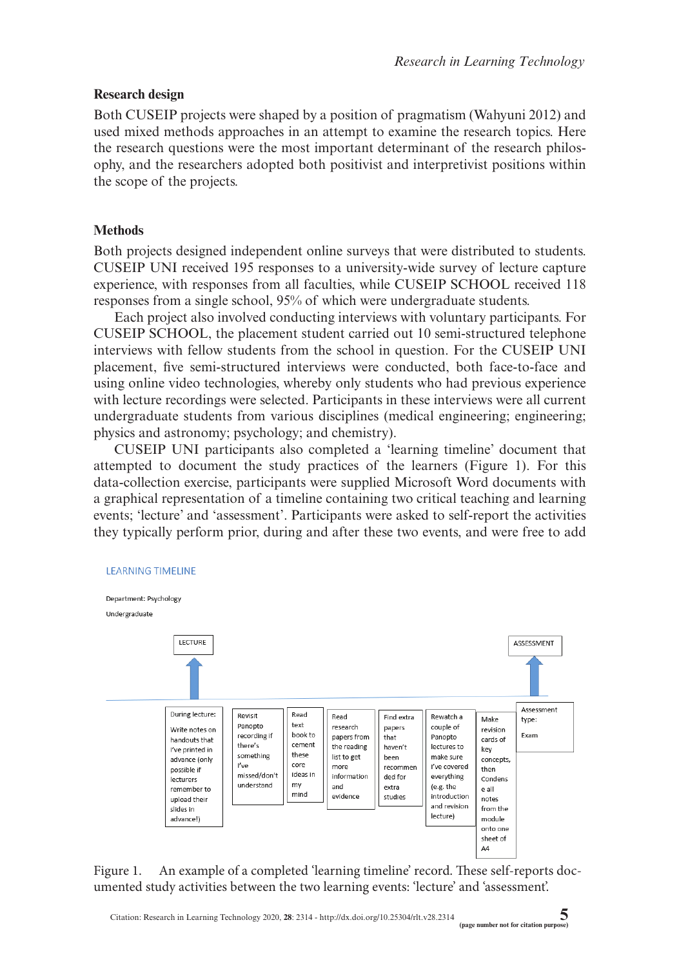## **Research design**

Both CUSEIP projects were shaped by a position of pragmatism (Wahyuni 2012) and used mixed methods approaches in an attempt to examine the research topics. Here the research questions were the most important determinant of the research philosophy, and the researchers adopted both positivist and interpretivist positions within the scope of the projects.

## **Methods**

Both projects designed independent online surveys that were distributed to students. CUSEIP UNI received 195 responses to a university-wide survey of lecture capture experience, with responses from all faculties, while CUSEIP SCHOOL received 118 responses from a single school, 95% of which were undergraduate students.

Each project also involved conducting interviews with voluntary participants. For CUSEIP SCHOOL, the placement student carried out 10 semi-structured telephone interviews with fellow students from the school in question. For the CUSEIP UNI placement, five semi-structured interviews were conducted, both face-to-face and using online video technologies, whereby only students who had previous experience with lecture recordings were selected. Participants in these interviews were all current undergraduate students from various disciplines (medical engineering; engineering; physics and astronomy; psychology; and chemistry).

CUSEIP UNI participants also completed a 'learning timeline' document that attempted to document the study practices of the learners (Figure 1). For this data-collection exercise, participants were supplied Microsoft Word documents with a graphical representation of a timeline containing two critical teaching and learning events; 'lecture' and 'assessment'. Participants were asked to self-report the activities they typically perform prior, during and after these two events, and were free to add



Figure 1. An example of a completed 'learning timeline' record. These self-reports documented study activities between the two learning events: 'lecture' and 'assessment'.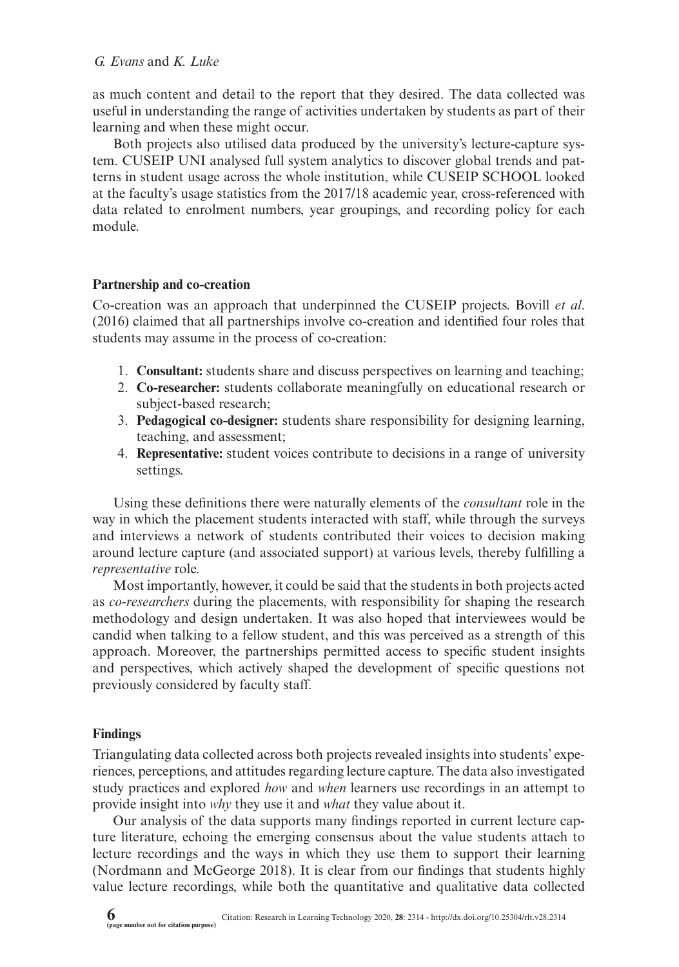as much content and detail to the report that they desired. The data collected was useful in understanding the range of activities undertaken by students as part of their learning and when these might occur.

Both projects also utilised data produced by the university's lecture-capture system. CUSEIP UNI analysed full system analytics to discover global trends and patterns in student usage across the whole institution, while CUSEIP SCHOOL looked at the faculty's usage statistics from the 2017/18 academic year, cross-referenced with data related to enrolment numbers, year groupings, and recording policy for each module.

### **Partnership and co-creation**

Co-creation was an approach that underpinned the CUSEIP projects. Bovill *et al*. (2016) claimed that all partnerships involve co-creation and identified four roles that students may assume in the process of co-creation:

- 1. **Consultant:** students share and discuss perspectives on learning and teaching;
- 2. **Co-researcher:** students collaborate meaningfully on educational research or subject-based research;
- 3. **Pedagogical co-designer:** students share responsibility for designing learning, teaching, and assessment;
- 4. **Representative:** student voices contribute to decisions in a range of university settings.

Using these definitions there were naturally elements of the *consultant* role in the way in which the placement students interacted with staff, while through the surveys and interviews a network of students contributed their voices to decision making around lecture capture (and associated support) at various levels, thereby fulfilling a *representative* role.

Most importantly, however, it could be said that the students in both projects acted as *co-researchers* during the placements, with responsibility for shaping the research methodology and design undertaken. It was also hoped that interviewees would be candid when talking to a fellow student, and this was perceived as a strength of this approach. Moreover, the partnerships permitted access to specific student insights and perspectives, which actively shaped the development of specific questions not previously considered by faculty staff.

## **Findings**

Triangulating data collected across both projects revealed insights into students' experiences, perceptions, and attitudes regarding lecture capture. The data also investigated study practices and explored *how* and *when* learners use recordings in an attempt to provide insight into *why* they use it and *what* they value about it.

Our analysis of the data supports many findings reported in current lecture capture literature, echoing the emerging consensus about the value students attach to lecture recordings and the ways in which they use them to support their learning (Nordmann and McGeorge 2018). It is clear from our findings that students highly value lecture recordings, while both the quantitative and qualitative data collected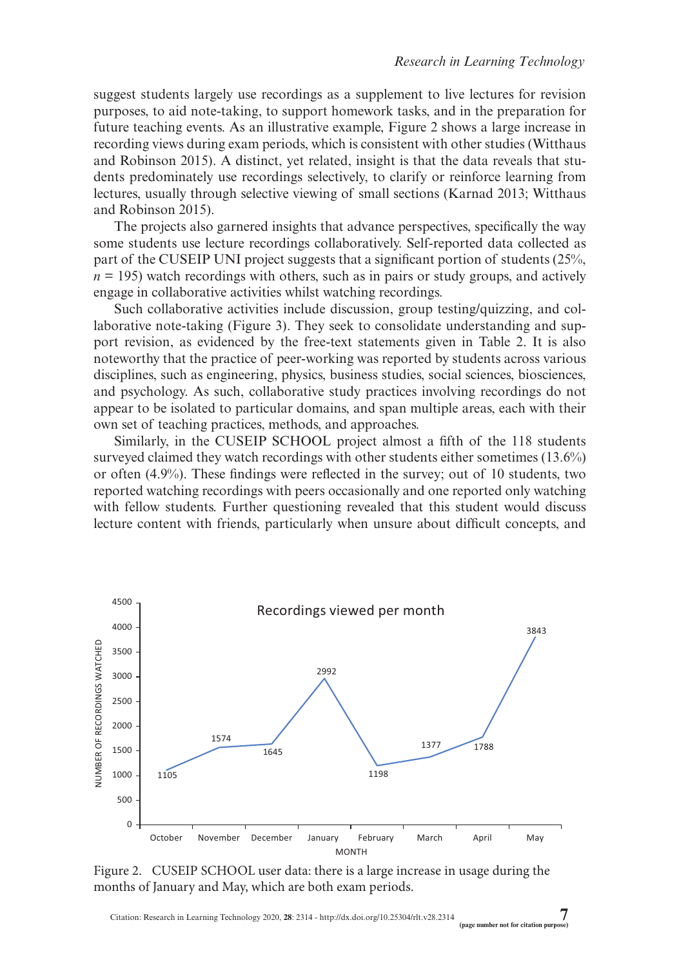suggest students largely use recordings as a supplement to live lectures for revision purposes, to aid note-taking, to support homework tasks, and in the preparation for future teaching events. As an illustrative example, Figure 2 shows a large increase in recording views during exam periods, which is consistent with other studies (Witthaus and Robinson 2015). A distinct, yet related, insight is that the data reveals that students predominately use recordings selectively, to clarify or reinforce learning from lectures, usually through selective viewing of small sections (Karnad 2013; Witthaus and Robinson 2015).

The projects also garnered insights that advance perspectives, specifically the way some students use lecture recordings collaboratively. Self-reported data collected as part of the CUSEIP UNI project suggests that a significant portion of students (25%,  $n = 195$ ) watch recordings with others, such as in pairs or study groups, and actively engage in collaborative activities whilst watching recordings.

Such collaborative activities include discussion, group testing/quizzing, and collaborative note-taking (Figure 3). They seek to consolidate understanding and support revision, as evidenced by the free-text statements given in Table 2. It is also noteworthy that the practice of peer-working was reported by students across various disciplines, such as engineering, physics, business studies, social sciences, biosciences, and psychology. As such, collaborative study practices involving recordings do not appear to be isolated to particular domains, and span multiple areas, each with their own set of teaching practices, methods, and approaches.

Similarly, in the CUSEIP SCHOOL project almost a fifth of the 118 students surveyed claimed they watch recordings with other students either sometimes (13.6%) or often (4.9%). These findings were reflected in the survey; out of 10 students, two reported watching recordings with peers occasionally and one reported only watching with fellow students. Further questioning revealed that this student would discuss lecture content with friends, particularly when unsure about difficult concepts, and



Figure 2. CUSEIP SCHOOL user data: there is a large increase in usage during the months of January and May, which are both exam periods.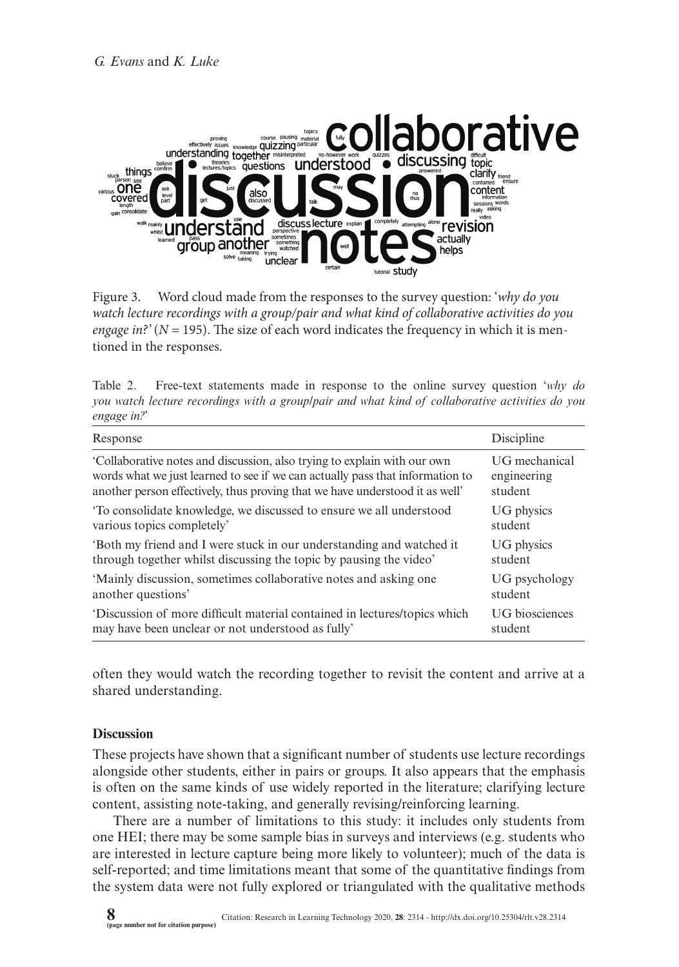

Figure 3. Word cloud made from the responses to the survey question: '*why do you watch lecture recordings with a group/pair and what kind of collaborative activities do you engage in?'* ( $N = 195$ ). The size of each word indicates the frequency in which it is mentioned in the responses.

Table 2. Free-text statements made in response to the online survey question '*why do you watch lecture recordings with a group/pair and what kind of collaborative activities do you engage in?*'

| Response                                                                      | Discipline     |
|-------------------------------------------------------------------------------|----------------|
| Collaborative notes and discussion, also trying to explain with our own       | UG mechanical  |
| words what we just learned to see if we can actually pass that information to | engineering    |
| another person effectively, thus proving that we have understood it as well'  | student        |
| To consolidate knowledge, we discussed to ensure we all understood            | UG physics     |
| various topics completely'                                                    | student        |
| Both my friend and I were stuck in our understanding and watched it           | UG physics     |
| through together whilst discussing the topic by pausing the video'            | student        |
| 'Mainly discussion, sometimes collaborative notes and asking one              | UG psychology  |
| another questions'                                                            | student        |
| Discussion of more difficult material contained in lectures/topics which      | UG biosciences |
| may have been unclear or not understood as fully'                             | student        |

often they would watch the recording together to revisit the content and arrive at a shared understanding.

### **Discussion**

These projects have shown that a significant number of students use lecture recordings alongside other students, either in pairs or groups. It also appears that the emphasis is often on the same kinds of use widely reported in the literature; clarifying lecture content, assisting note-taking, and generally revising/reinforcing learning.

There are a number of limitations to this study: it includes only students from one HEI; there may be some sample bias in surveys and interviews (e.g. students who are interested in lecture capture being more likely to volunteer); much of the data is self-reported; and time limitations meant that some of the quantitative findings from the system data were not fully explored or triangulated with the qualitative methods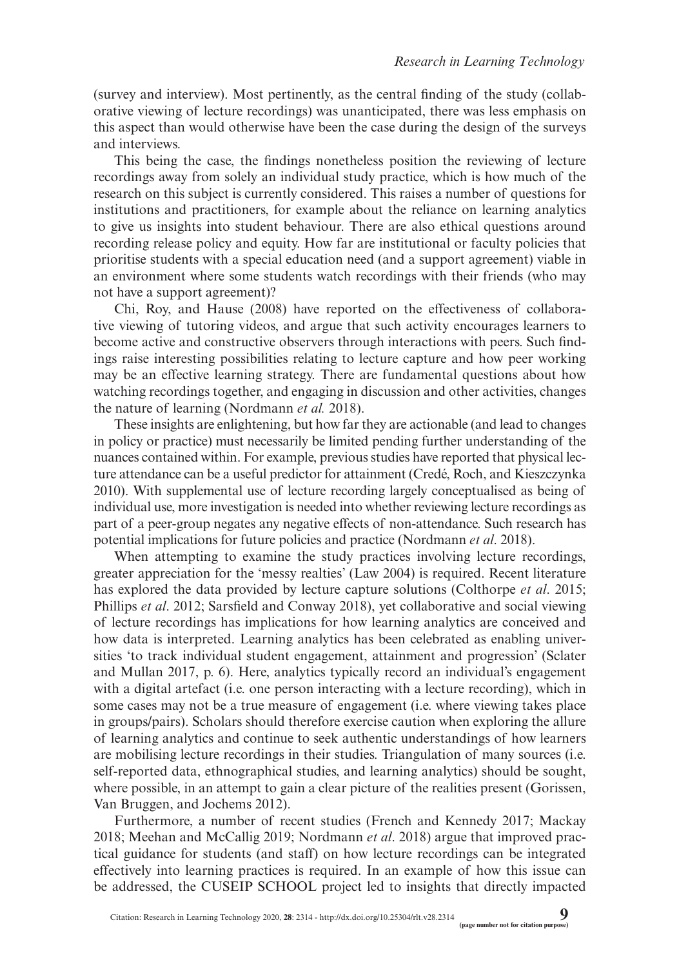(survey and interview). Most pertinently, as the central finding of the study (collaborative viewing of lecture recordings) was unanticipated, there was less emphasis on this aspect than would otherwise have been the case during the design of the surveys and interviews.

This being the case, the findings nonetheless position the reviewing of lecture recordings away from solely an individual study practice, which is how much of the research on this subject is currently considered. This raises a number of questions for institutions and practitioners, for example about the reliance on learning analytics to give us insights into student behaviour. There are also ethical questions around recording release policy and equity. How far are institutional or faculty policies that prioritise students with a special education need (and a support agreement) viable in an environment where some students watch recordings with their friends (who may not have a support agreement)?

Chi, Roy, and Hause (2008) have reported on the effectiveness of collaborative viewing of tutoring videos, and argue that such activity encourages learners to become active and constructive observers through interactions with peers. Such findings raise interesting possibilities relating to lecture capture and how peer working may be an effective learning strategy. There are fundamental questions about how watching recordings together, and engaging in discussion and other activities, changes the nature of learning (Nordmann *et al.* 2018).

These insights are enlightening, but how far they are actionable (and lead to changes in policy or practice) must necessarily be limited pending further understanding of the nuances contained within. For example, previous studies have reported that physical lecture attendance can be a useful predictor for attainment (Credé, Roch, and Kieszczynka 2010). With supplemental use of lecture recording largely conceptualised as being of individual use, more investigation is needed into whether reviewing lecture recordings as part of a peer-group negates any negative effects of non-attendance. Such research has potential implications for future policies and practice (Nordmann *et al*. 2018).

When attempting to examine the study practices involving lecture recordings, greater appreciation for the 'messy realties' (Law 2004) is required. Recent literature has explored the data provided by lecture capture solutions (Colthorpe *et al*. 2015; Phillips *et al*. 2012; Sarsfield and Conway 2018), yet collaborative and social viewing of lecture recordings has implications for how learning analytics are conceived and how data is interpreted. Learning analytics has been celebrated as enabling universities 'to track individual student engagement, attainment and progression' (Sclater and Mullan 2017, p. 6). Here, analytics typically record an individual's engagement with a digital artefact (i.e. one person interacting with a lecture recording), which in some cases may not be a true measure of engagement (i.e. where viewing takes place in groups/pairs). Scholars should therefore exercise caution when exploring the allure of learning analytics and continue to seek authentic understandings of how learners are mobilising lecture recordings in their studies. Triangulation of many sources (i.e. self-reported data, ethnographical studies, and learning analytics) should be sought, where possible, in an attempt to gain a clear picture of the realities present (Gorissen, Van Bruggen, and Jochems 2012).

Furthermore, a number of recent studies (French and Kennedy 2017; Mackay 2018; Meehan and McCallig 2019; Nordmann *et al*. 2018) argue that improved practical guidance for students (and staff) on how lecture recordings can be integrated effectively into learning practices is required. In an example of how this issue can be addressed, the CUSEIP SCHOOL project led to insights that directly impacted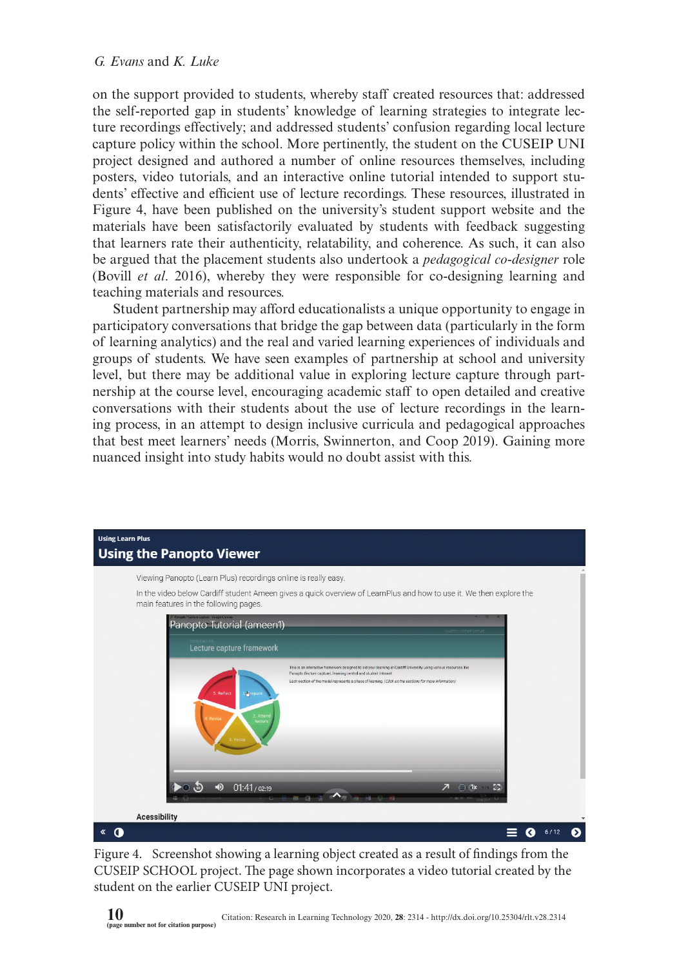on the support provided to students, whereby staff created resources that: addressed the self-reported gap in students' knowledge of learning strategies to integrate lecture recordings effectively; and addressed students' confusion regarding local lecture capture policy within the school. More pertinently, the student on the CUSEIP UNI project designed and authored a number of online resources themselves, including posters, video tutorials, and an interactive online tutorial intended to support students' effective and efficient use of lecture recordings. These resources, illustrated in Figure 4, have been published on the university's student support website and the materials have been satisfactorily evaluated by students with feedback suggesting that learners rate their authenticity, relatability, and coherence. As such, it can also be argued that the placement students also undertook a *pedagogical co-designer* role (Bovill *et al*. 2016), whereby they were responsible for co-designing learning and teaching materials and resources.

Student partnership may afford educationalists a unique opportunity to engage in participatory conversations that bridge the gap between data (particularly in the form of learning analytics) and the real and varied learning experiences of individuals and groups of students. We have seen examples of partnership at school and university level, but there may be additional value in exploring lecture capture through partnership at the course level, encouraging academic staff to open detailed and creative conversations with their students about the use of lecture recordings in the learning process, in an attempt to design inclusive curricula and pedagogical approaches that best meet learners' needs (Morris, Swinnerton, and Coop 2019). Gaining more nuanced insight into study habits would no doubt assist with this.



Figure 4. Screenshot showing a learning object created as a result of findings from the CUSEIP SCHOOL project. The page shown incorporates a video tutorial created by the student on the earlier CUSEIP UNI project.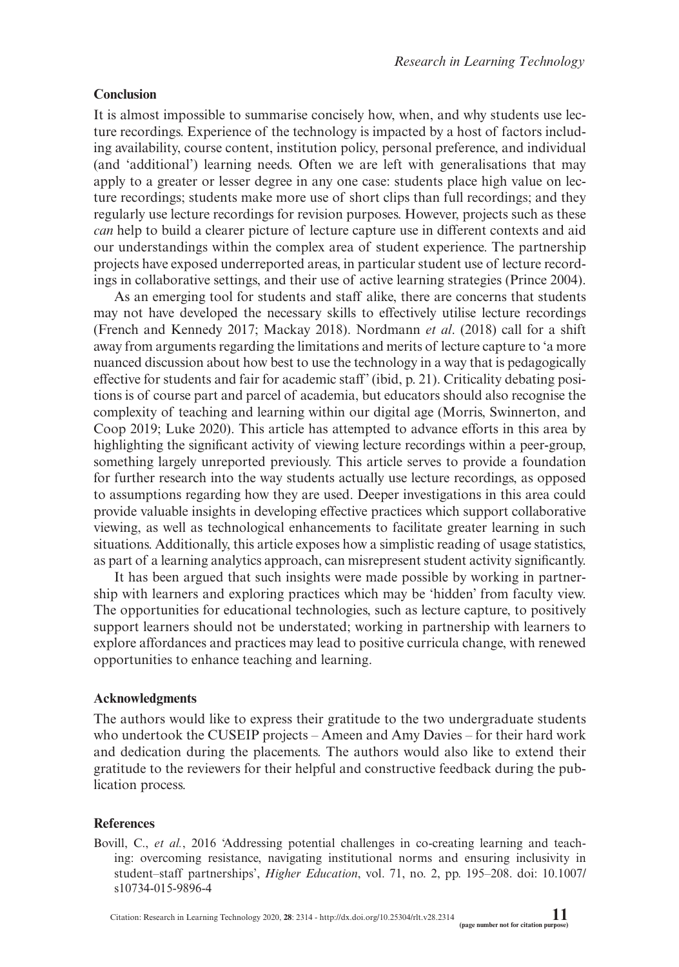## **Conclusion**

It is almost impossible to summarise concisely how, when, and why students use lecture recordings. Experience of the technology is impacted by a host of factors including availability, course content, institution policy, personal preference, and individual (and 'additional') learning needs. Often we are left with generalisations that may apply to a greater or lesser degree in any one case: students place high value on lecture recordings; students make more use of short clips than full recordings; and they regularly use lecture recordings for revision purposes. However, projects such as these *can* help to build a clearer picture of lecture capture use in different contexts and aid our understandings within the complex area of student experience. The partnership projects have exposed underreported areas, in particular student use of lecture recordings in collaborative settings, and their use of active learning strategies (Prince 2004).

As an emerging tool for students and staff alike, there are concerns that students may not have developed the necessary skills to effectively utilise lecture recordings (French and Kennedy 2017; Mackay 2018). Nordmann *et al*. (2018) call for a shift away from arguments regarding the limitations and merits of lecture capture to 'a more nuanced discussion about how best to use the technology in a way that is pedagogically effective for students and fair for academic staff' (ibid, p. 21). Criticality debating positions is of course part and parcel of academia, but educators should also recognise the complexity of teaching and learning within our digital age (Morris, Swinnerton, and Coop 2019; Luke 2020). This article has attempted to advance efforts in this area by highlighting the significant activity of viewing lecture recordings within a peer-group, something largely unreported previously. This article serves to provide a foundation for further research into the way students actually use lecture recordings, as opposed to assumptions regarding how they are used. Deeper investigations in this area could provide valuable insights in developing effective practices which support collaborative viewing, as well as technological enhancements to facilitate greater learning in such situations. Additionally, this article exposes how a simplistic reading of usage statistics, as part of a learning analytics approach, can misrepresent student activity significantly.

It has been argued that such insights were made possible by working in partnership with learners and exploring practices which may be 'hidden' from faculty view. The opportunities for educational technologies, such as lecture capture, to positively support learners should not be understated; working in partnership with learners to explore affordances and practices may lead to positive curricula change, with renewed opportunities to enhance teaching and learning.

#### **Acknowledgments**

The authors would like to express their gratitude to the two undergraduate students who undertook the CUSEIP projects – Ameen and Amy Davies – for their hard work and dedication during the placements. The authors would also like to extend their gratitude to the reviewers for their helpful and constructive feedback during the publication process.

#### **References**

Bovill, C., *et al.*, 2016 'Addressing potential challenges in co-creating learning and teaching: overcoming resistance, navigating institutional norms and ensuring inclusivity in student–staff partnerships', *Higher Education*, vol. 71, no. 2, pp. 195–208. doi: [10.1007/](http://dx.doi.org/10.1007/s10734-015-9896-4) [s10734-015-9896-4](http://dx.doi.org/10.1007/s10734-015-9896-4)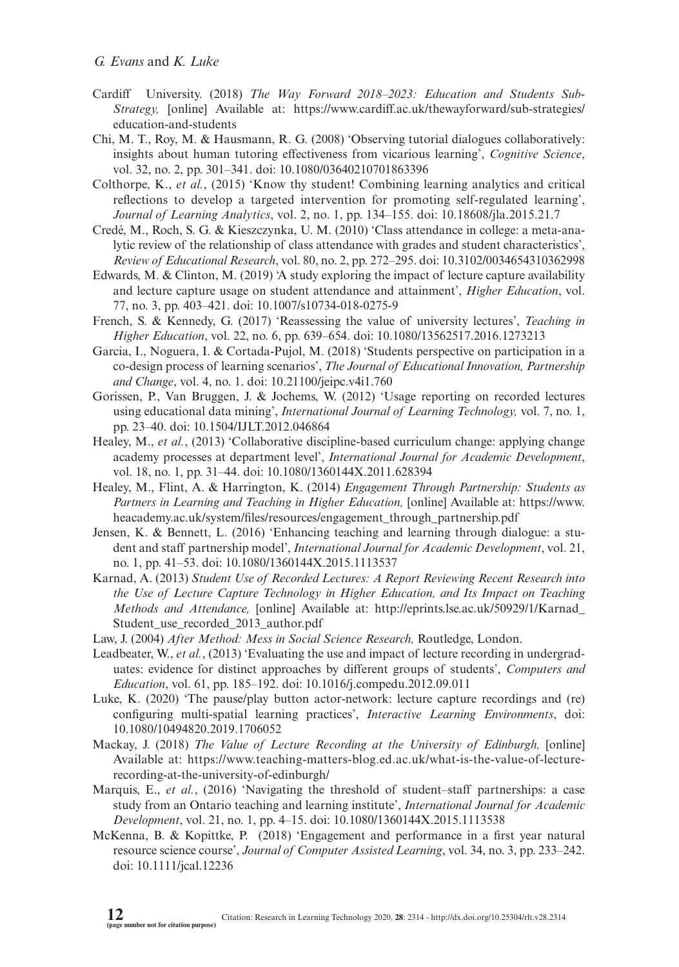- Cardiff University. (2018) *The Way Forward 2018–2023: Education and Students Sub-Strategy,* [online] Available at: [https://www.cardiff.ac.uk/thewayforward/sub-strategies/](https://www.cardiff.ac.uk/thewayforward/sub-strategies/education-and-students) [education-and-students](https://www.cardiff.ac.uk/thewayforward/sub-strategies/education-and-students)
- Chi, M. T., Roy, M. & Hausmann, R. G. (2008) 'Observing tutorial dialogues collaboratively: insights about human tutoring effectiveness from vicarious learning', *Cognitive Science*, vol. 32, no. 2, pp. 301–341. doi: [10.1080/03640210701863396](http://dx.doi.org/10.1080/03640210701863396)
- Colthorpe, K., *et al.*, (2015) 'Know thy student! Combining learning analytics and critical reflections to develop a targeted intervention for promoting self-regulated learning', *Journal of Learning Analytics*, vol. 2, no. 1, pp. 134–155. doi: [10.18608/jla.2015.21.7](http://dx.doi.org/10.18608/jla.2015.21.7)
- Credé, M., Roch, S. G. & Kieszczynka, U. M. (2010) 'Class attendance in college: a meta-analytic review of the relationship of class attendance with grades and student characteristics', *Review of Educational Research*, vol. 80, no. 2, pp. 272–295. doi: [10.3102/0034654310362998](http://dx.doi.org/10.3102/0034654310362998)
- Edwards, M. & Clinton, M. (2019) 'A study exploring the impact of lecture capture availability and lecture capture usage on student attendance and attainment', *Higher Education*, vol. 77, no. 3, pp. 403–421. doi: [10.1007/s10734-018-0275-9](http://dx.doi.org/10.1007/s10734-018-0275-9)
- French, S. & Kennedy, G. (2017) 'Reassessing the value of university lectures', *Teaching in Higher Education*, vol. 22, no. 6, pp. 639–654. doi: [10.1080/13562517.2016.1273213](http://dx.doi.org/10.1080/13562517.2016.1273213)
- Garcia, I., Noguera, I. & Cortada-Pujol, M. (2018) 'Students perspective on participation in a co-design process of learning scenarios', *The Journal of Educational Innovation, Partnership and Change*, vol. 4, no. 1. doi: [10.21100/jeipc.v4i1.760](http://dx.doi.org/10.21100/jeipc.v4i1.760)
- Gorissen, P., Van Bruggen, J. & Jochems, W. (2012) 'Usage reporting on recorded lectures using educational data mining', *International Journal of Learning Technology,* vol. 7, no. 1, pp. 23–40. doi: [10.1504/IJLT.2012.046864](http://dx.doi.org/10.1504/IJLT.2012.046864)
- Healey, M., *et al.*, (2013) 'Collaborative discipline-based curriculum change: applying change academy processes at department level', *International Journal for Academic Development*, vol. 18, no. 1, pp. 31–44. doi: [10.1080/1360144X.2011.628394](http://dx.doi.org/10.1080/1360144X.2011.628394)
- Healey, M., Flint, A. & Harrington, K. (2014) *Engagement Through Partnership: Students as Partners in Learning and Teaching in Higher Education,* [online] Available at: [https://www.](https://www.heacademy.ac.uk/system/files/resources/engagement_through_partnership.pdf) [heacademy.ac.uk/system/files/resources/engagement\\_through\\_partnership.pdf](https://www.heacademy.ac.uk/system/files/resources/engagement_through_partnership.pdf)
- Jensen, K. & Bennett, L. (2016) 'Enhancing teaching and learning through dialogue: a student and staff partnership model', *International Journal for Academic Development*, vol. 21, no. 1, pp. 41–53. doi: [10.1080/1360144X.2015.1113537](http://dx.doi.org/10.1080/1360144X.2015.1113537)
- Karnad, A. (2013) *Student Use of Recorded Lectures: A Report Reviewing Recent Research into the Use of Lecture Capture Technology in Higher Education, and Its Impact on Teaching Methods and Attendance,* [online] Available at: [http://eprints.lse.ac.uk/50929/1/Karnad\\_](http://eprints.lse.ac.uk/50929/1/Karnad_Student_use_recorded_2013_author.pdf) [Student\\_use\\_recorded\\_2013\\_author.pdf](http://eprints.lse.ac.uk/50929/1/Karnad_Student_use_recorded_2013_author.pdf)
- Law, J. (2004) *After Method: Mess in Social Science Research,* Routledge, London.
- Leadbeater, W., *et al.*, (2013) 'Evaluating the use and impact of lecture recording in undergraduates: evidence for distinct approaches by different groups of students', *Computers and Education*, vol. 61, pp. 185–192. doi: [10.1016/j.compedu.2012.09.011](http://dx.doi.org/10.1016/j.compedu.2012.09.011)
- Luke, K. (2020) 'The pause/play button actor-network: lecture capture recordings and (re) configuring multi-spatial learning practices', *Interactive Learning Environments*, doi: [10.1080/10494820.2019.1706052](http://dx.doi.org/10.1080/10494820.2019.1706052)
- Mackay, J. (2018) *The Value of Lecture Recording at the University of Edinburgh,* [online] Available at: [https://www.teaching-matters-blog.ed.ac.uk/what-is-the-value-of-lecture](https://www.teaching-matters-blog.ed.ac.uk/what-is-the-value-of-lecture-recording-at-the-university-of-edinburgh/)[recording-at-the-university-of-edinburgh/](https://www.teaching-matters-blog.ed.ac.uk/what-is-the-value-of-lecture-recording-at-the-university-of-edinburgh/)
- Marquis, E., *et al.*, (2016) 'Navigating the threshold of student–staff partnerships: a case study from an Ontario teaching and learning institute', *International Journal for Academic Development*, vol. 21, no. 1, pp. 4–15. doi: [10.1080/1360144X.2015.1113538](http://dx.doi.org/10.1080/1360144X.2015.1113538)
- McKenna, B. & Kopittke, P. (2018) 'Engagement and performance in a first year natural resource science course', *Journal of Computer Assisted Learning*, vol. 34, no. 3, pp. 233–242. doi: [10.1111/jcal.12236](http://dx.doi.org/10.1111/jcal.12236)